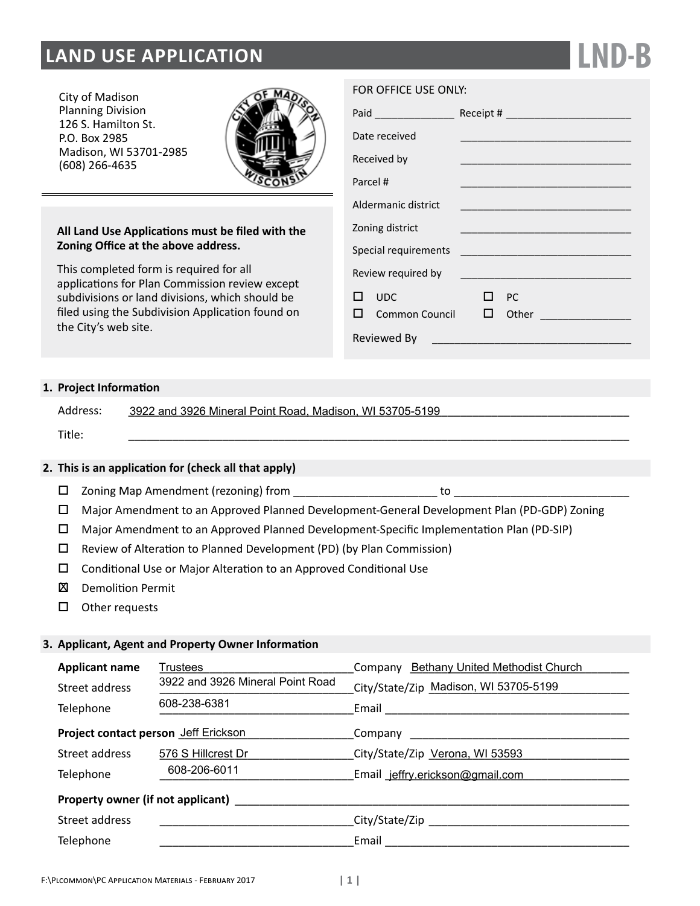# **LAND USE APPLICATION**

City of Madison Planning Division 126 S. Hamilton St. P.O. Box 2985 Madison, WI 53701-2985 (608) 266-4635



## **All Land Use Applications must be filed with the Zoning Office at the above address.**

This completed form is required for all applications for Plan Commission review except subdivisions or land divisions, which should be filed using the Subdivision Application found on the City's web site.

|  | FOR OFFICE USE ONLY: |  |  |
|--|----------------------|--|--|
|--|----------------------|--|--|

|             | Paid ________________ |    |  |           |                                                                                                                      |
|-------------|-----------------------|----|--|-----------|----------------------------------------------------------------------------------------------------------------------|
|             | Date received         |    |  |           |                                                                                                                      |
|             | Received by           |    |  |           |                                                                                                                      |
| Parcel #    |                       |    |  |           | <u> 1989 - Johann Barbara, martin da basar a shekara tsa 1989 - An tsa 1989 - An tsa 1989 - An tsa 1989 - An tsa</u> |
|             | Aldermanic district   |    |  |           |                                                                                                                      |
|             | Zoning district       |    |  |           |                                                                                                                      |
|             |                       |    |  |           |                                                                                                                      |
|             | Review required by    |    |  |           |                                                                                                                      |
| . .         | <b>UDC</b>            |    |  | <b>PC</b> |                                                                                                                      |
|             | Common Council        | LТ |  | Other     |                                                                                                                      |
| Reviewed By |                       |    |  |           |                                                                                                                      |

**LND-B**

# **1. Project Information**

| Address: | 3922 and 3926 Mineral Point Road, Madison, WI 53705-5199 |
|----------|----------------------------------------------------------|
| Title:   |                                                          |

## **2. This is an application for (check all that apply)**

- $\square$  Zoning Map Amendment (rezoning) from
- Major Amendment to an Approved Planned Development-General Development Plan (PD-GDP) Zoning
- Major Amendment to an Approved Planned Development-Specific Implementation Plan (PD-SIP)
- $\square$  Review of Alteration to Planned Development (PD) (by Plan Commission)
- □ Conditional Use or Major Alteration to an Approved Conditional Use
- Demolition Permit X
- $\square$  Other requests

#### **3. Applicant, Agent and Property Owner Information**

| <b>Applicant name</b>                | Trustees                         | Company Bethany United Methodist Church |
|--------------------------------------|----------------------------------|-----------------------------------------|
| Street address                       | 3922 and 3926 Mineral Point Road | City/State/Zip Madison, WI 53705-5199   |
| Telephone                            | 608-238-6381                     | Email                                   |
| Project contact person Jeff Erickson |                                  | Company                                 |
| Street address                       | 576 S Hillcrest Dr               | City/State/Zip Verona, WI 53593         |
| Telephone                            | 608-206-6011                     | Email jeffry.erickson@gmail.com         |
| Property owner (if not applicant)    |                                  |                                         |
| Street address                       |                                  |                                         |
| Telephone                            |                                  | Email                                   |